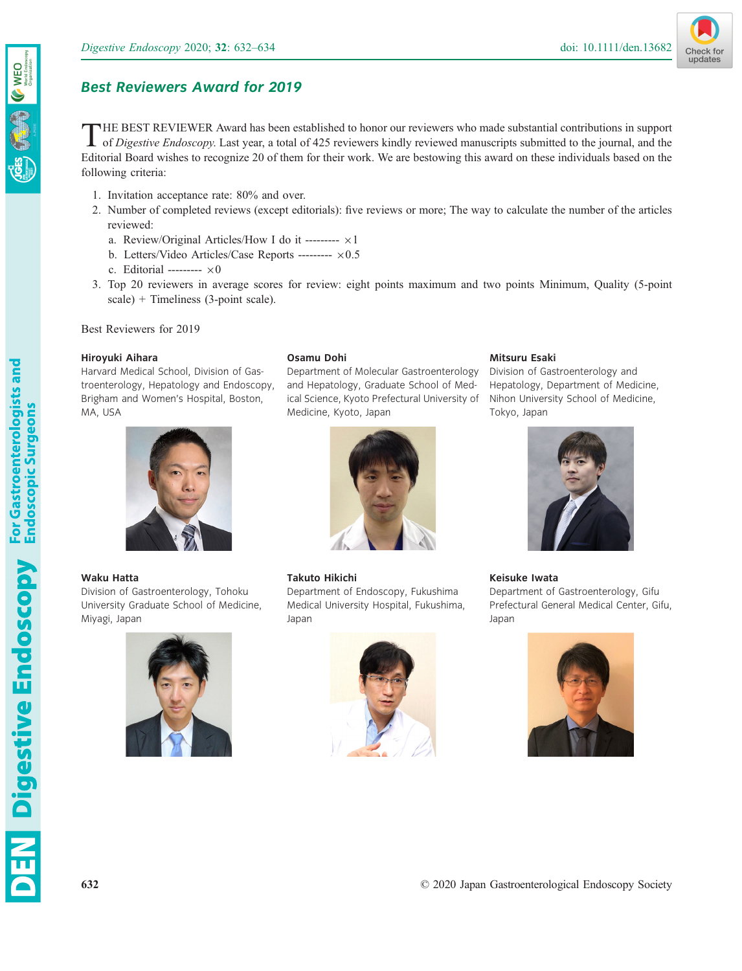



# Best Reviewers Award for 2019

THE BEST REVIEWER Award has been established to honor our reviewers who made substantial contributions in support of Digestive Endoscopy. Last year, a total of 425 reviewers kindly reviewed manuscripts submitted to the journal, and the Editorial Board wishes to recognize 20 of them for their work. We are bestowing this award on these individuals based on the following criteria:

- 1. Invitation acceptance rate: 80% and over.
- 2. Number of completed reviews (except editorials): five reviews or more; The way to calculate the number of the articles reviewed:
	- a. Review/Original Articles/How I do it ---------  $\times 1$
	- b. Letters/Video Articles/Case Reports ---------  $\times 0.5$
	- c. Editorial ---------  $\times 0$
- 3. Top 20 reviewers in average scores for review: eight points maximum and two points Minimum, Quality (5-point scale) + Timeliness (3-point scale).

Best Reviewers for 2019

# Hiroyuki Aihara

Harvard Medical School, Division of Gastroenterology, Hepatology and Endoscopy, Brigham and Women's Hospital, Boston, MA, USA



# Waku Hatta

**Endoscopy** For Gastroenterologists and **Endoscopy** Endoscopic Surgeons

Division of Gastroenterology, Tohoku University Graduate School of Medicine, Miyagi, Japan



# Osamu Dohi

Department of Molecular Gastroenterology and Hepatology, Graduate School of Medical Science, Kyoto Prefectural University of Medicine, Kyoto, Japan



# Takuto Hikichi

Department of Endoscopy, Fukushima Medical University Hospital, Fukushima, Japan



# Mitsuru Esaki

Division of Gastroenterology and Hepatology, Department of Medicine, Nihon University School of Medicine, Tokyo, Japan



# Keisuke Iwata

Department of Gastroenterology, Gifu Prefectural General Medical Center, Gifu, Japan

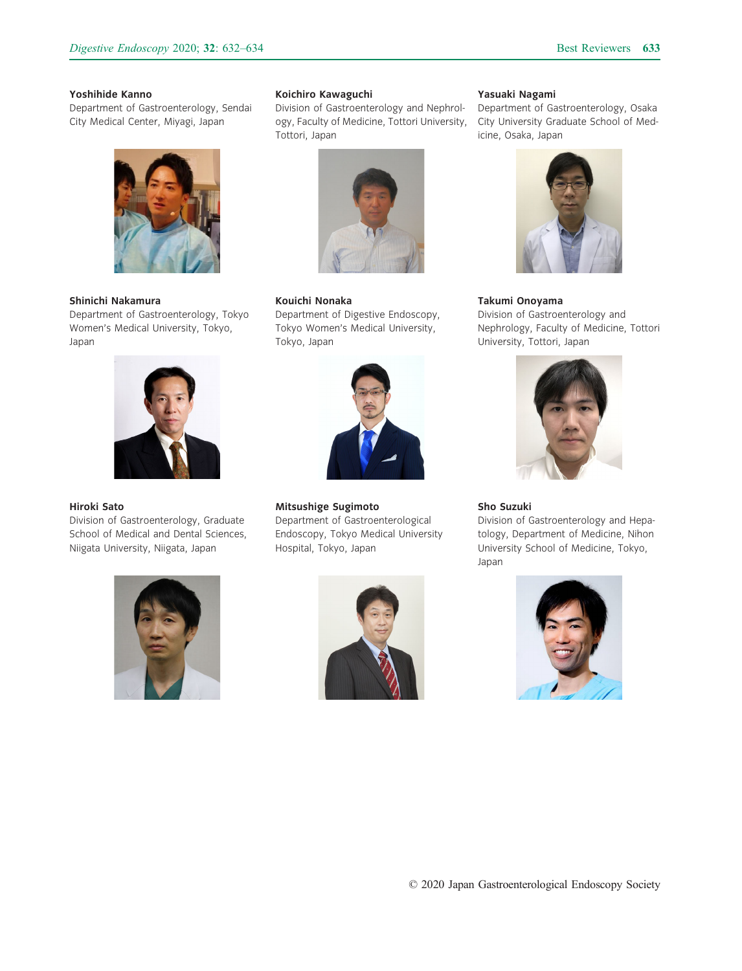#### Yoshihide Kanno

Department of Gastroenterology, Sendai City Medical Center, Miyagi, Japan



#### Shinichi Nakamura

Department of Gastroenterology, Tokyo Women's Medical University, Tokyo, Japan



#### Hiroki Sato

Division of Gastroenterology, Graduate School of Medical and Dental Sciences, Niigata University, Niigata, Japan



### Koichiro Kawaguchi

Division of Gastroenterology and Nephrology, Faculty of Medicine, Tottori University, Tottori, Japan



#### Kouichi Nonaka

Department of Digestive Endoscopy, Tokyo Women's Medical University, Tokyo, Japan



Mitsushige Sugimoto Department of Gastroenterological Endoscopy, Tokyo Medical University Hospital, Tokyo, Japan



#### Yasuaki Nagami

Department of Gastroenterology, Osaka City University Graduate School of Medicine, Osaka, Japan



# Takumi Onoyama Division of Gastroenterology and Nephrology, Faculty of Medicine, Tottori University, Tottori, Japan



# Sho Suzuki

Division of Gastroenterology and Hepatology, Department of Medicine, Nihon University School of Medicine, Tokyo, Japan